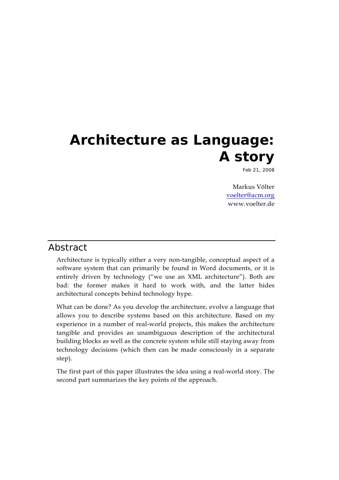# **Architecture as Language: A story**

Feb 21, 2008

Markus Völter voelter@acm.org www.voelter.de

## Abstract

Architecture is typically either a very non-tangible, conceptual aspect of a software system that can primarily be found in Word documents, or it is entirely driven by technology ("we use an XML architecture"). Both are bad: the former makes it hard to work with, and the latter hides architectural concepts behind technology hype.

What can be done? As you develop the architecture, evolve a language that allows you to describe systems based on this architecture. Based on my experience in a number of real-world projects, this makes the architecture tangible and provides an unambiguous description of the architectural building blocks as well as the concrete system while still staying away from technology decisions (which then can be made consciously in a separate step).

The first part of this paper illustrates the idea using a real-world story. The second part summarizes the key points of the approach.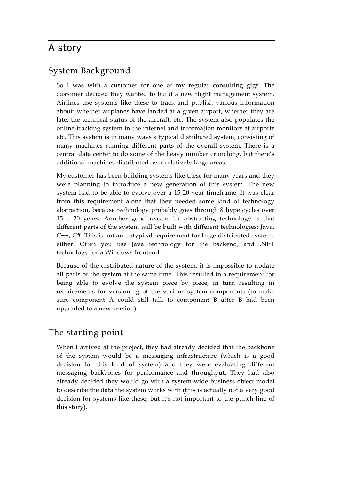# A story

# System Background

So I was with a customer for one of my regular consulting gigs. The customer decided they wanted to build a new flight management system. Airlines use systems like these to track and publish various information about: whether airplanes have landed at a given airport, whether they are late, the technical status of the aircraft, etc. The system also populates the online-tracking system in the internet and information monitors at airports etc. This system is in many ways a typical distributed system, consisting of many machines running different parts of the overall system. There is a central data center to do some of the heavy number crunching, but there's additional machines distributed over relatively large areas.

My customer has been building systems like these for many years and they were planning to introduce a new generation of this system. The new system had to be able to evolve over a 15-20 year timeframe. It was clear from this requirement alone that they needed some kind of technology abstraction, because technology probably goes through 8 hype cycles over 15 – 20 years. Another good reason for abstracting technology is that different parts of the system will be built with different technologies: Java, C++, C#. This is not an untypical requirement for large distributed systems either. Often you use Java technology for the backend, and .NET technology for a Windows frontend.

Because of the distributed nature of the system, it is impossible to update all parts of the system at the same time. This resulted in a requirement for being able to evolve the system piece by piece, in turn resulting in requirements for versioning of the various system components (to make sure component A could still talk to component B after B had been upgraded to a new version).

# The starting point

When I arrived at the project, they had already decided that the backbone of the system would be a messaging infrastructure (which is a good decision for this kind of system) and they were evaluating different messaging backbones for performance and throughput. They had also already decided they would go with a system-wide business object model to describe the data the system works with (this is actually not a very good decision for systems like these, but it's not important to the punch line of this story).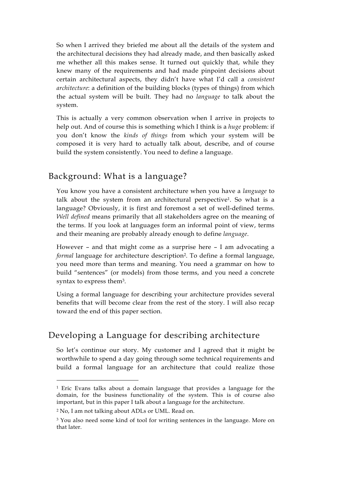So when I arrived they briefed me about all the details of the system and the architectural decisions they had already made, and then basically asked me whether all this makes sense. It turned out quickly that, while they knew many of the requirements and had made pinpoint decisions about certain architectural aspects, they didn't have what I'd call a *consistent architecture*: a definition of the building blocks (types of things) from which the actual system will be built. They had no *language* to talk about the system.

This is actually a very common observation when I arrive in projects to help out. And of course this is something which I think is a *huge* problem: if you don't know the *kinds of things* from which your system will be composed it is very hard to actually talk about, describe, and of course build the system consistently. You need to define a language.

#### Background: What is a language?

You know you have a consistent architecture when you have a *language* to talk about the system from an architectural perspective1. So what is a language? Obviously, it is first and foremost a set of well-defined terms. *Well defined* means primarily that all stakeholders agree on the meaning of the terms. If you look at languages form an informal point of view, terms and their meaning are probably already enough to define *language*.

However – and that might come as a surprise here – I am advocating a *formal* language for architecture description2. To define a formal language, you need more than terms and meaning. You need a grammar on how to build "sentences" (or models) from those terms, and you need a concrete syntax to express them3.

Using a formal language for describing your architecture provides several benefits that will become clear from the rest of the story. I will also recap toward the end of this paper section.

## Developing a Language for describing architecture

So let's continue our story. My customer and I agreed that it might be worthwhile to spend a day going through some technical requirements and build a formal language for an architecture that could realize those

 $\overline{a}$ 

<sup>1</sup> Eric Evans talks about a domain language that provides a language for the domain, for the business functionality of the system. This is of course also important, but in this paper I talk about a language for the architecture.

<sup>2</sup> No, I am not talking about ADLs or UML. Read on.

<sup>&</sup>lt;sup>3</sup> You also need some kind of tool for writing sentences in the language. More on that later.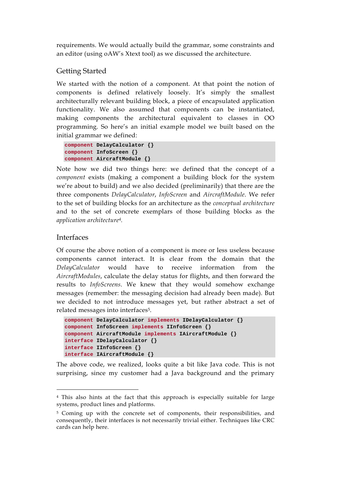requirements. We would actually build the grammar, some constraints and an editor (using oAW's Xtext tool) as we discussed the architecture.

#### Getting Started

We started with the notion of a component. At that point the notion of components is defined relatively loosely. It's simply the smallest architecturally relevant building block, a piece of encapsulated application functionality. We also assumed that components can be instantiated, making components the architectural equivalent to classes in OO programming. So here's an initial example model we built based on the initial grammar we defined:

```
component DelayCalculator {} 
component InfoScreen {} 
component AircraftModule {}
```
Note how we did two things here: we defined that the concept of a *component* exists (making a component a building block for the system we're about to build) and we also decided (preliminarily) that there are the three components *DelayCalculator*, *InfoScreen* and *AircraftModule*. We refer to the set of building blocks for an architecture as the *conceptual architecture* and to the set of concrete exemplars of those building blocks as the *application architecture4.*

#### Interfaces

 $\ddot{\phantom{a}}$ 

Of course the above notion of a component is more or less useless because components cannot interact. It is clear from the domain that the *DelayCalculator* would have to receive information from the *AircraftModules*, calculate the delay status for flights, and then forward the results to *InfoScreens*. We knew that they would somehow exchange messages (remember: the messaging decision had already been made). But we decided to not introduce messages yet, but rather abstract a set of related messages into interfaces5.

```
component DelayCalculator implements IDelayCalculator {} 
component InfoScreen implements IInfoScreen {} 
component AircraftModule implements IAircraftModule {} 
interface IDelayCalculator {} 
interface IInfoScreen {} 
interface IAircraftModule {}
```
The above code, we realized, looks quite a bit like Java code. This is not surprising, since my customer had a Java background and the primary

<sup>4</sup> This also hints at the fact that this approach is especially suitable for large systems, product lines and platforms.

<sup>5</sup> Coming up with the concrete set of components, their responsibilities, and consequently, their interfaces is not necessarily trivial either. Techniques like CRC cards can help here.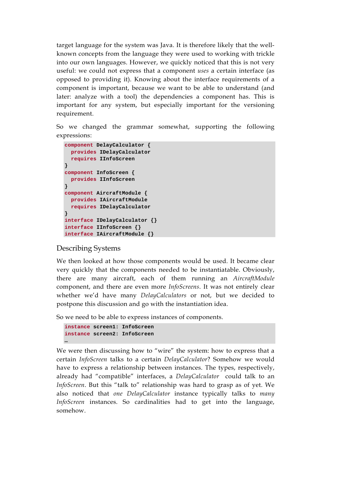target language for the system was Java. It is therefore likely that the wellknown concepts from the language they were used to working with trickle into our own languages. However, we quickly noticed that this is not very useful: we could not express that a component *uses* a certain interface (as opposed to providing it). Knowing about the interface requirements of a component is important, because we want to be able to understand (and later: analyze with a tool) the dependencies a component has. This is important for any system, but especially important for the versioning requirement.

So we changed the grammar somewhat, supporting the following expressions:

```
component DelayCalculator { 
  provides IDelayCalculator 
  requires IInfoScreen 
} 
component InfoScreen { 
  provides IInfoScreen 
} 
component AircraftModule { 
 provides IAircraftModule 
  requires IDelayCalculator 
} 
interface IDelayCalculator {} 
interface IInfoScreen {} 
interface IAircraftModule {}
```
#### Describing Systems

We then looked at how those components would be used. It became clear very quickly that the components needed to be instantiatable. Obviously, there are many aircraft, each of them running an *AircraftModule* component, and there are even more *InfoScreens*. It was not entirely clear whether we'd have many *DelayCalculators* or not, but we decided to postpone this discussion and go with the instantiation idea.

So we need to be able to express instances of components.

```
instance screen1: InfoScreen 
instance screen2: InfoScreen 
…
```
We were then discussing how to "wire" the system: how to express that a certain *InfoScreen* talks to a certain *DelayCalculator*? Somehow we would have to express a relationship between instances. The types, respectively, already had "compatible" interfaces, a *DelayCalculator* could talk to an *InfoScreen*. But this "talk to" relationship was hard to grasp as of yet. We also noticed that *one DelayCalculator* instance typically talks to *many InfoScreen* instances. So cardinalities had to get into the language, somehow.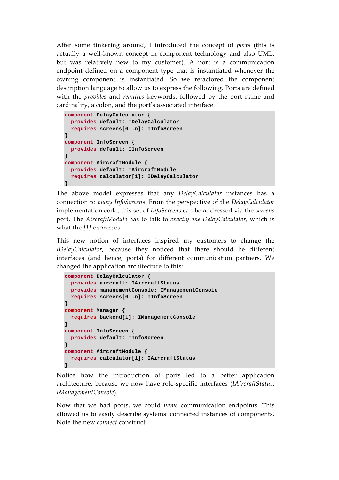After some tinkering around, I introduced the concept of *ports* (this is actually a well-known concept in component technology and also UML, but was relatively new to my customer). A port is a communication endpoint defined on a component type that is instantiated whenever the owning component is instantiated. So we refactored the component description language to allow us to express the following. Ports are defined with the *provides* and *requires* keywords, followed by the port name and cardinality, a colon, and the port's associated interface.

```
component DelayCalculator { 
   provides default: IDelayCalculator 
  requires screens[0..n]: IInfoScreen 
} 
component InfoScreen { 
 provides default: IInfoScreen 
} 
component AircraftModule { 
   provides default: IAircraftModule 
   requires calculator[1]: IDelayCalculator 
}
```
The above model expresses that any *DelayCalculator* instances has a connection to *many InfoScreens*. From the perspective of the *DelayCalculator* implementation code, this set of *InfoScreens* can be addressed via the *screens* port. The *AircraftModule* has to talk to *exactly one DelayCalculator,* which is what the *[1]* expresses.

This new notion of interfaces inspired my customers to change the *IDelayCalculator*, because they noticed that there should be different interfaces (and hence, ports) for different communication partners. We changed the application architecture to this:

```
component DelayCalculator { 
   provides aircraft: IAircraftStatus 
   provides managementConsole: IManagementConsole 
  requires screens[0..n]: IInfoScreen 
} 
component Manager { 
 requires backend[1]: IManagementConsole 
} 
component InfoScreen { 
 provides default: IInfoScreen 
} 
component AircraftModule { 
   requires calculator[1]: IAircraftStatus 
}
```
Notice how the introduction of ports led to a better application architecture, because we now have role-specific interfaces (*IAircraftStatus*, *IManagementConsole*).

Now that we had ports, we could *name* communication endpoints. This allowed us to easily describe systems: connected instances of components. Note the new *connect* construct.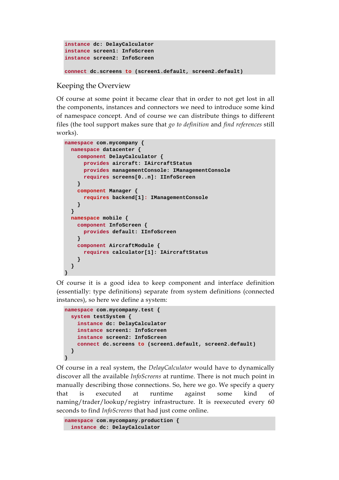```
instance dc: DelayCalculator 
instance screen1: InfoScreen 
instance screen2: InfoScreen 
connect dc.screens to (screen1.default, screen2.default)
```
#### Keeping the Overview

Of course at some point it became clear that in order to not get lost in all the components, instances and connectors we need to introduce some kind of namespace concept. And of course we can distribute things to different files (the tool support makes sure that *go to definition* and *find references* still works).

```
namespace com.mycompany { 
   namespace datacenter { 
     component DelayCalculator { 
       provides aircraft: IAircraftStatus 
       provides managementConsole: IManagementConsole 
       requires screens[0..n]: IInfoScreen 
     } 
     component Manager { 
       requires backend[1]: IManagementConsole 
     } 
   } 
   namespace mobile { 
     component InfoScreen { 
       provides default: IInfoScreen 
     } 
     component AircraftModule { 
       requires calculator[1]: IAircraftStatus 
 } 
   } 
}
```
Of course it is a good idea to keep component and interface definition (essentially: type definitions) separate from system definitions (connected instances), so here we define a system:

```
namespace com.mycompany.test { 
   system testSystem { 
     instance dc: DelayCalculator 
    instance screen1: InfoScreen 
    instance screen2: InfoScreen 
     connect dc.screens to (screen1.default, screen2.default) 
   } 
}
```
Of course in a real system, the *DelayCalculator* would have to dynamically discover all the available *InfoScreens* at runtime. There is not much point in manually describing those connections. So, here we go. We specify a query that is executed at runtime against some kind of naming/trader/lookup/registry infrastructure. It is reexecuted every 60 seconds to find *InfoScreens* that had just come online.

```
namespace com.mycompany.production { 
  instance dc: DelayCalculator
```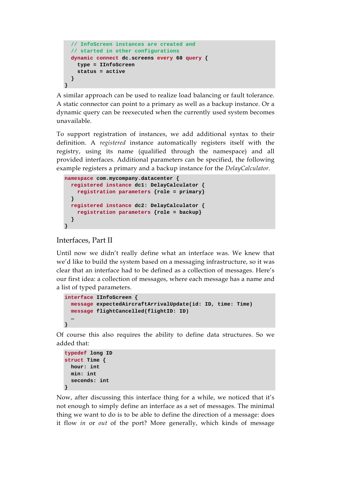```
 // InfoScreen instances are created and 
   // started in other configurations 
   dynamic connect dc.screens every 60 query { 
     type = IInfoScreen 
     status = active 
   } 
}
```
A similar approach can be used to realize load balancing or fault tolerance. A static connector can point to a primary as well as a backup instance. Or a dynamic query can be reexecuted when the currently used system becomes unavailable.

To support registration of instances, we add additional syntax to their definition. A *registered* instance automatically registers itself with the registry, using its name (qualified through the namespace) and all provided interfaces. Additional parameters can be specified, the following example registers a primary and a backup instance for the *DelayCalculator*.

```
namespace com.mycompany.datacenter { 
   registered instance dc1: DelayCalculator { 
     registration parameters {role = primary} 
   } 
   registered instance dc2: DelayCalculator { 
    registration parameters {role = backup} 
   } 
}
```
#### Interfaces, Part II

Until now we didn't really define what an interface was. We knew that we'd like to build the system based on a messaging infrastructure, so it was clear that an interface had to be defined as a collection of messages. Here's our first idea: a collection of messages, where each message has a name and a list of typed parameters.

```
interface IInfoScreen { 
   message expectedAircraftArrivalUpdate(id: ID, time: Time) 
   message flightCancelled(flightID: ID) 
 … 
}
```
Of course this also requires the ability to define data structures. So we added that:

```
typedef long ID
struct Time { 
   hour: int 
   min: int 
   seconds: int 
}
```
Now, after discussing this interface thing for a while, we noticed that it's not enough to simply define an interface as a set of messages. The minimal thing we want to do is to be able to define the direction of a message: does it flow *in* or *out* of the port? More generally, which kinds of message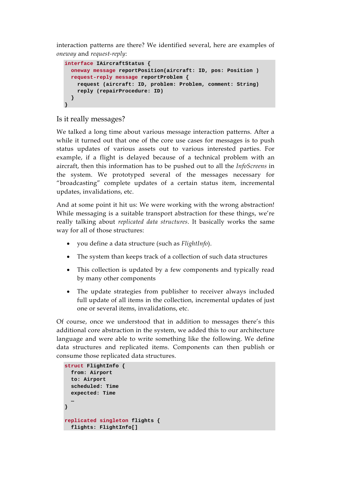interaction patterns are there? We identified several, here are examples of *oneway* and *request-reply*:

```
interface IAircraftStatus { 
   oneway message reportPosition(aircraft: ID, pos: Position ) 
   request-reply message reportProblem { 
    request (aircraft: ID, problem: Problem, comment: String) 
    reply (repairProcedure: ID) 
   } 
}
```
Is it really messages?

We talked a long time about various message interaction patterns. After a while it turned out that one of the core use cases for messages is to push status updates of various assets out to various interested parties. For example, if a flight is delayed because of a technical problem with an aircraft, then this information has to be pushed out to all the *InfoScreens* in the system. We prototyped several of the messages necessary for "broadcasting" complete updates of a certain status item, incremental updates, invalidations, etc.

And at some point it hit us: We were working with the wrong abstraction! While messaging is a suitable transport abstraction for these things, we're really talking about *replicated data structures*. It basically works the same way for all of those structures:

- you define a data structure (such as *FlightInfo*).
- The system than keeps track of a collection of such data structures
- This collection is updated by a few components and typically read by many other components
- The update strategies from publisher to receiver always included full update of all items in the collection, incremental updates of just one or several items, invalidations, etc.

Of course, once we understood that in addition to messages there's this additional core abstraction in the system, we added this to our architecture language and were able to write something like the following. We define data structures and replicated items. Components can then publish or consume those replicated data structures.

```
struct FlightInfo { 
   from: Airport 
   to: Airport 
   scheduled: Time 
   expected: Time 
 … 
} 
replicated singleton flights { 
 flights: FlightInfo[]
```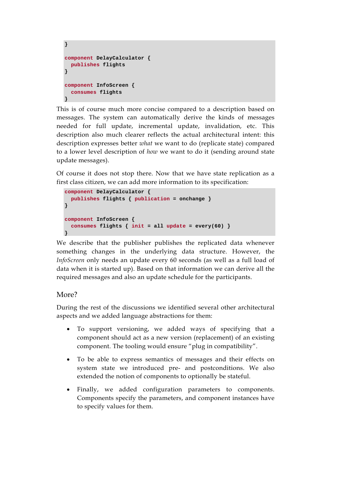```
} 
component DelayCalculator { 
   publishes flights 
} 
component InfoScreen { 
   consumes flights 
}
```
This is of course much more concise compared to a description based on messages. The system can automatically derive the kinds of messages needed for full update, incremental update, invalidation, etc. This description also much clearer reflects the actual architectural intent: this description expresses better *what* we want to do (replicate state) compared to a lower level description of *how* we want to do it (sending around state update messages).

Of course it does not stop there. Now that we have state replication as a first class citizen, we can add more information to its specification:

```
component DelayCalculator { 
   publishes flights { publication = onchange } 
} 
component InfoScreen { 
   consumes flights { init = all update = every(60) } 
}
```
We describe that the publisher publishes the replicated data whenever something changes in the underlying data structure. However, the *InfoScreen* only needs an update every 60 seconds (as well as a full load of data when it is started up). Based on that information we can derive all the required messages and also an update schedule for the participants.

#### More?

During the rest of the discussions we identified several other architectural aspects and we added language abstractions for them:

- To support versioning, we added ways of specifying that a component should act as a new version (replacement) of an existing component. The tooling would ensure "plug in compatibility".
- To be able to express semantics of messages and their effects on system state we introduced pre- and postconditions. We also extended the notion of components to optionally be stateful.
- Finally, we added configuration parameters to components. Components specify the parameters, and component instances have to specify values for them.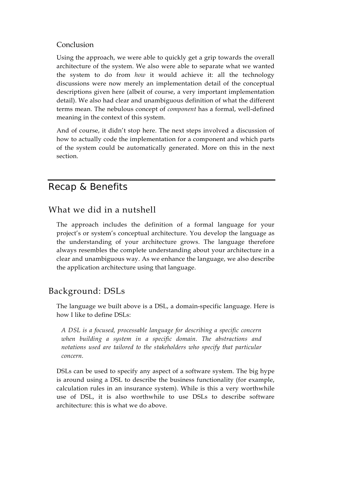#### Conclusion

Using the approach, we were able to quickly get a grip towards the overall architecture of the system. We also were able to separate what we wanted the system to do from *how* it would achieve it: all the technology discussions were now merely an implementation detail of the conceptual descriptions given here (albeit of course, a very important implementation detail). We also had clear and unambiguous definition of what the different terms mean. The nebulous concept of *component* has a formal, well-defined meaning in the context of this system.

And of course, it didn't stop here. The next steps involved a discussion of how to actually code the implementation for a component and which parts of the system could be automatically generated. More on this in the next section.

# Recap & Benefits

## What we did in a nutshell

The approach includes the definition of a formal language for your project's or system's conceptual architecture. You develop the language as the understanding of your architecture grows. The language therefore always resembles the complete understanding about your architecture in a clear and unambiguous way. As we enhance the language, we also describe the application architecture using that language.

## Background: DSLs

The language we built above is a DSL, a domain-specific language. Here is how I like to define DSLs:

*A DSL is a focused, processable language for describing a specific concern when building a system in a specific domain. The abstractions and notations used are tailored to the stakeholders who specify that particular concern.* 

DSLs can be used to specify any aspect of a software system. The big hype is around using a DSL to describe the business functionality (for example, calculation rules in an insurance system). While is this a very worthwhile use of DSL, it is also worthwhile to use DSLs to describe software architecture: this is what we do above.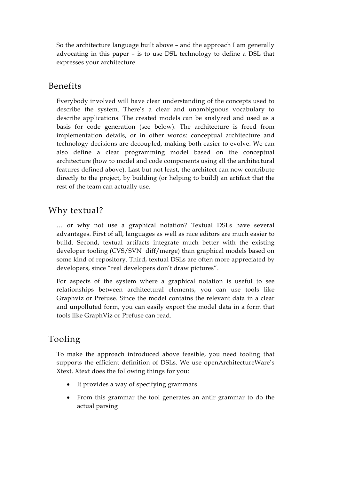So the architecture language built above – and the approach I am generally advocating in this paper – is to use DSL technology to define a DSL that expresses your architecture.

#### Benefits

Everybody involved will have clear understanding of the concepts used to describe the system. There's a clear and unambiguous vocabulary to describe applications. The created models can be analyzed and used as a basis for code generation (see below). The architecture is freed from implementation details, or in other words: conceptual architecture and technology decisions are decoupled, making both easier to evolve. We can also define a clear programming model based on the conceptual architecture (how to model and code components using all the architectural features defined above). Last but not least, the architect can now contribute directly to the project, by building (or helping to build) an artifact that the rest of the team can actually use.

## Why textual?

… or why not use a graphical notation? Textual DSLs have several advantages. First of all, languages as well as nice editors are much easier to build. Second, textual artifacts integrate much better with the existing developer tooling (CVS/SVN diff/merge) than graphical models based on some kind of repository. Third, textual DSLs are often more appreciated by developers, since "real developers don't draw pictures".

For aspects of the system where a graphical notation is useful to see relationships between architectural elements, you can use tools like Graphviz or Prefuse. Since the model contains the relevant data in a clear and unpolluted form, you can easily export the model data in a form that tools like GraphViz or Prefuse can read.

## Tooling

To make the approach introduced above feasible, you need tooling that supports the efficient definition of DSLs. We use openArchitectureWare's Xtext. Xtext does the following things for you:

- It provides a way of specifying grammars
- From this grammar the tool generates an antlr grammar to do the actual parsing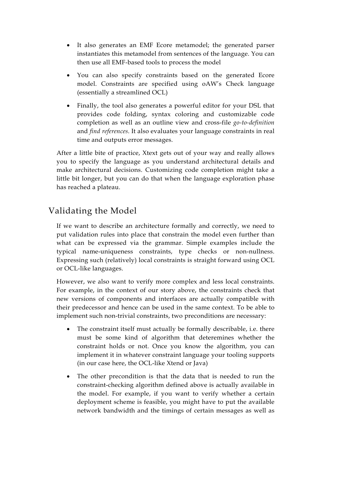- It also generates an EMF Ecore metamodel; the generated parser instantiates this metamodel from sentences of the language. You can then use all EMF-based tools to process the model
- You can also specify constraints based on the generated Ecore model. Constraints are specified using oAW's Check language (essentially a streamlined OCL)
- Finally, the tool also generates a powerful editor for your DSL that provides code folding, syntax coloring and customizable code completion as well as an outline view and cross-file *go-to-definition* and *find references*. It also evaluates your language constraints in real time and outputs error messages.

After a little bite of practice, Xtext gets out of your way and really allows you to specify the language as you understand architectural details and make architectural decisions. Customizing code completion might take a little bit longer, but you can do that when the language exploration phase has reached a plateau.

# Validating the Model

If we want to describe an architecture formally and correctly, we need to put validation rules into place that constrain the model even further than what can be expressed via the grammar. Simple examples include the typical name-uniqueness constraints, type checks or non-nullness. Expressing such (relatively) local constraints is straight forward using OCL or OCL-like languages.

However, we also want to verify more complex and less local constraints. For example, in the context of our story above, the constraints check that new versions of components and interfaces are actually compatible with their predecessor and hence can be used in the same context. To be able to implement such non-trivial constraints, two preconditions are necessary:

- The constraint itself must actually be formally describable, i.e. there must be some kind of algorithm that deteremines whether the constraint holds or not. Once you know the algorithm, you can implement it in whatever constraint language your tooling supports (in our case here, the OCL-like Xtend or Java)
- The other precondition is that the data that is needed to run the constraint-checking algorithm defined above is actually available in the model. For example, if you want to verify whether a certain deployment scheme is feasible, you might have to put the available network bandwidth and the timings of certain messages as well as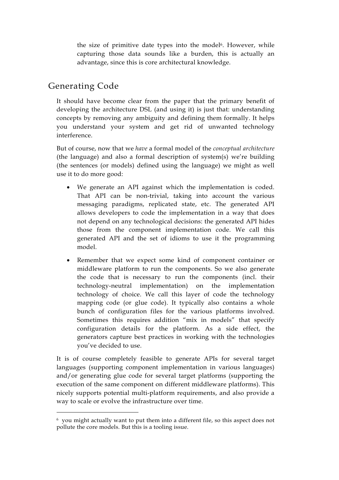the size of primitive date types into the model<sup>6</sup>. However, while capturing those data sounds like a burden, this is actually an advantage, since this is core architectural knowledge.

## Generating Code

 $\overline{a}$ 

It should have become clear from the paper that the primary benefit of developing the architecture DSL (and using it) is just that: understanding concepts by removing any ambiguity and defining them formally. It helps you understand your system and get rid of unwanted technology interference.

But of course, now that we *have* a formal model of the *conceptual architecture* (the language) and also a formal description of system(s) we're building (the sentences (or models) defined using the language) we might as well use it to do more good:

- We generate an API against which the implementation is coded. That API can be non-trivial, taking into account the various messaging paradigms, replicated state, etc. The generated API allows developers to code the implementation in a way that does not depend on any technological decisions: the generated API hides those from the component implementation code. We call this generated API and the set of idioms to use it the programming model.
- Remember that we expect some kind of component container or middleware platform to run the components. So we also generate the code that is necessary to run the components (incl. their technology-neutral implementation) on the implementation technology of choice. We call this layer of code the technology mapping code (or glue code). It typically also contains a whole bunch of configuration files for the various platforms involved. Sometimes this requires addition "mix in models" that specify configuration details for the platform. As a side effect, the generators capture best practices in working with the technologies you've decided to use.

It is of course completely feasible to generate APIs for several target languages (supporting component implementation in various languages) and/or generating glue code for several target platforms (supporting the execution of the same component on different middleware platforms). This nicely supports potential multi-platform requirements, and also provide a way to scale or evolve the infrastructure over time.

<sup>6</sup> you might actually want to put them into a different file, so this aspect does not pollute the core models. But this is a tooling issue.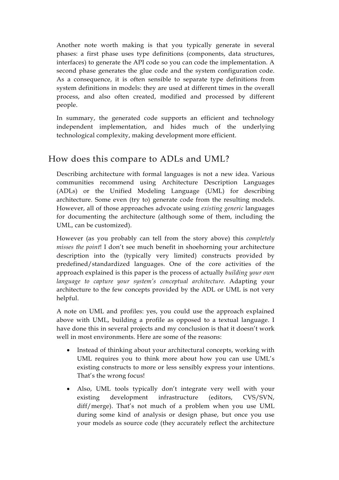Another note worth making is that you typically generate in several phases: a first phase uses type definitions (components, data structures, interfaces) to generate the API code so you can code the implementation. A second phase generates the glue code and the system configuration code. As a consequence, it is often sensible to separate type definitions from system definitions in models: they are used at different times in the overall process, and also often created, modified and processed by different people.

In summary, the generated code supports an efficient and technology independent implementation, and hides much of the underlying technological complexity, making development more efficient.

#### How does this compare to ADLs and UML?

Describing architecture with formal languages is not a new idea. Various communities recommend using Architecture Description Languages (ADLs) or the Unified Modeling Language (UML) for describing architecture. Some even (try to) generate code from the resulting models. However, all of those approaches advocate using *existing generic* languages for documenting the architecture (although some of them, including the UML, can be customized).

However (as you probably can tell from the story above) this *completely misses the point*! I don't see much benefit in shoehorning your architecture description into the (typically very limited) constructs provided by predefined/standardized languages. One of the core activities of the approach explained is this paper is the process of actually *building your own language to capture your system's conceptual architecture*. Adapting your architecture to the few concepts provided by the ADL or UML is not very helpful.

A note on UML and profiles: yes, you could use the approach explained above with UML, building a profile as opposed to a textual language. I have done this in several projects and my conclusion is that it doesn't work well in most environments. Here are some of the reasons:

- Instead of thinking about your architectural concepts, working with UML requires you to think more about how you can use UML's existing constructs to more or less sensibly express your intentions. That's the wrong focus!
- Also, UML tools typically don't integrate very well with your existing development infrastructure (editors, CVS/SVN, diff/merge). That's not much of a problem when you use UML during some kind of analysis or design phase, but once you use your models as source code (they accurately reflect the architecture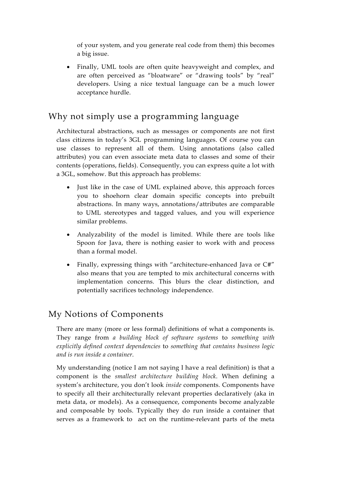of your system, and you generate real code from them) this becomes a big issue.

• Finally, UML tools are often quite heavyweight and complex, and are often perceived as "bloatware" or "drawing tools" by "real" developers. Using a nice textual language can be a much lower acceptance hurdle.

## Why not simply use a programming language

Architectural abstractions, such as messages or components are not first class citizens in today's 3GL programming languages. Of course you can use classes to represent all of them. Using annotations (also called attributes) you can even associate meta data to classes and some of their contents (operations, fields). Consequently, you can express quite a lot with a 3GL, somehow. But this approach has problems:

- Just like in the case of UML explained above, this approach forces you to shoehorn clear domain specific concepts into prebuilt abstractions. In many ways, annotations/attributes are comparable to UML stereotypes and tagged values, and you will experience similar problems.
- Analyzability of the model is limited. While there are tools like Spoon for Java, there is nothing easier to work with and process than a formal model.
- Finally, expressing things with "architecture-enhanced Java or C#" also means that you are tempted to mix architectural concerns with implementation concerns. This blurs the clear distinction, and potentially sacrifices technology independence.

#### My Notions of Components

There are many (more or less formal) definitions of what a components is. They range from *a building block of software systems* to *something with explicitly defined context dependencies* to *something that contains business logic and is run inside a container*.

My understanding (notice I am not saying I have a real definition) is that a component is the *smallest architecture building block*. When defining a system's architecture, you don't look *inside* components. Components have to specify all their architecturally relevant properties declaratively (aka in meta data, or models). As a consequence, components become analyzable and composable by tools. Typically they do run inside a container that serves as a framework to act on the runtime-relevant parts of the meta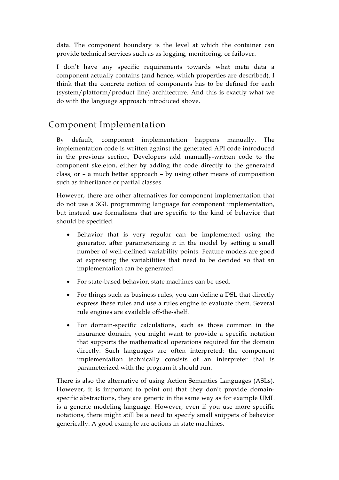data. The component boundary is the level at which the container can provide technical services such as as logging, monitoring, or failover.

I don't have any specific requirements towards what meta data a component actually contains (and hence, which properties are described). I think that the concrete notion of components has to be defined for each (system/platform/product line) architecture. And this is exactly what we do with the language approach introduced above.

# Component Implementation

By default, component implementation happens manually. The implementation code is written against the generated API code introduced in the previous section, Developers add manually-written code to the component skeleton, either by adding the code directly to the generated class, or – a much better approach – by using other means of composition such as inheritance or partial classes.

However, there are other alternatives for component implementation that do not use a 3GL programming language for component implementation, but instead use formalisms that are specific to the kind of behavior that should be specified.

- Behavior that is very regular can be implemented using the generator, after parameterizing it in the model by setting a small number of well-defined variability points. Feature models are good at expressing the variabilities that need to be decided so that an implementation can be generated.
- For state-based behavior, state machines can be used.
- For things such as business rules, you can define a DSL that directly express these rules and use a rules engine to evaluate them. Several rule engines are available off-the-shelf.
- For domain-specific calculations, such as those common in the insurance domain, you might want to provide a specific notation that supports the mathematical operations required for the domain directly. Such languages are often interpreted: the component implementation technically consists of an interpreter that is parameterized with the program it should run.

There is also the alternative of using Action Semantics Languages (ASLs). However, it is important to point out that they don't provide domainspecific abstractions, they are generic in the same way as for example UML is a generic modeling language. However, even if you use more specific notations, there might still be a need to specify small snippets of behavior generically. A good example are actions in state machines.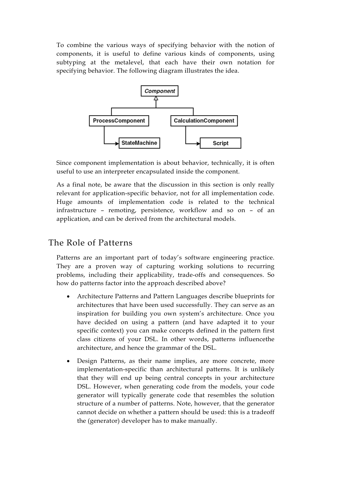To combine the various ways of specifying behavior with the notion of components, it is useful to define various kinds of components, using subtyping at the metalevel, that each have their own notation for specifying behavior. The following diagram illustrates the idea.



Since component implementation is about behavior, technically, it is often useful to use an interpreter encapsulated inside the component.

As a final note, be aware that the discussion in this section is only really relevant for application-specific behavior, not for all implementation code. Huge amounts of implementation code is related to the technical infrastructure – remoting, persistence, workflow and so on – of an application, and can be derived from the architectural models.

## The Role of Patterns

Patterns are an important part of today's software engineering practice. They are a proven way of capturing working solutions to recurring problems, including their applicability, trade-offs and consequences. So how do patterns factor into the approach described above?

- Architecture Patterns and Pattern Languages describe blueprints for architectures that have been used successfully. They can serve as an inspiration for building you own system's architecture. Once you have decided on using a pattern (and have adapted it to your specific context) you can make concepts defined in the pattern first class citizens of your DSL. In other words, patterns influencethe architecture, and hence the grammar of the DSL.
- Design Patterns, as their name implies, are more concrete, more implementation-specific than architectural patterns. It is unlikely that they will end up being central concepts in your architecture DSL. However, when generating code from the models, your code generator will typically generate code that resembles the solution structure of a number of patterns. Note, however, that the generator cannot decide on whether a pattern should be used: this is a tradeoff the (generator) developer has to make manually.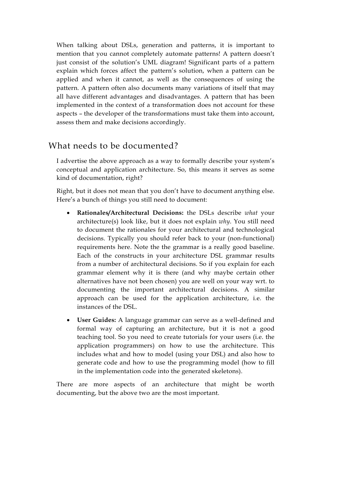When talking about DSLs, generation and patterns, it is important to mention that you cannot completely automate patterns! A pattern doesn't just consist of the solution's UML diagram! Significant parts of a pattern explain which forces affect the pattern's solution, when a pattern can be applied and when it cannot, as well as the consequences of using the pattern. A pattern often also documents many variations of itself that may all have different advantages and disadvantages. A pattern that has been implemented in the context of a transformation does not account for these aspects – the developer of the transformations must take them into account, assess them and make decisions accordingly.

#### What needs to be documented?

I advertise the above approach as a way to formally describe your system's conceptual and application architecture. So, this means it serves as some kind of documentation, right?

Right, but it does not mean that you don't have to document anything else. Here's a bunch of things you still need to document:

- **Rationales/Architectural Decisions:** the DSLs describe *what* your architecture(s) look like, but it does not explain *why*. You still need to document the rationales for your architectural and technological decisions. Typically you should refer back to your (non-functional) requirements here. Note the the grammar is a really good baseline. Each of the constructs in your architecture DSL grammar results from a number of architectural decisions. So if you explain for each grammar element why it is there (and why maybe certain other alternatives have not been chosen) you are well on your way wrt. to documenting the important architectural decisions. A similar approach can be used for the application architecture, i.e. the instances of the DSL.
- **User Guides:** A language grammar can serve as a well-defined and formal way of capturing an architecture, but it is not a good teaching tool. So you need to create tutorials for your users (i.e. the application programmers) on how to use the architecture. This includes what and how to model (using your DSL) and also how to generate code and how to use the programming model (how to fill in the implementation code into the generated skeletons).

There are more aspects of an architecture that might be worth documenting, but the above two are the most important.